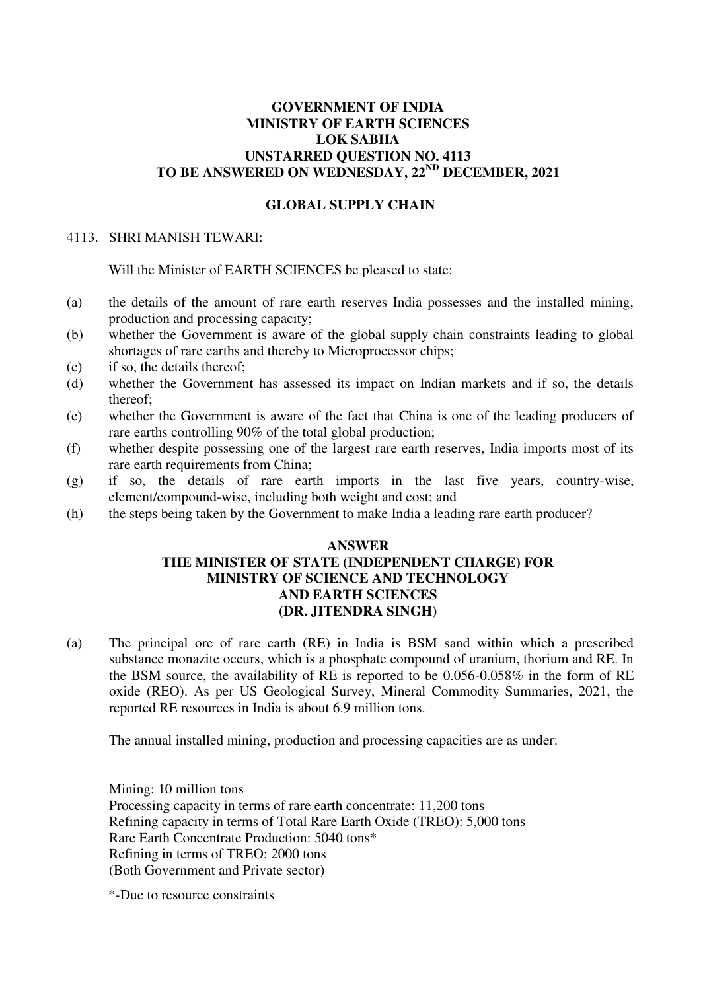## **GOVERNMENT OF INDIA MINISTRY OF EARTH SCIENCES LOK SABHA UNSTARRED QUESTION NO. 4113 TO BE ANSWERED ON WEDNESDAY, 22ND DECEMBER, 2021**

## **GLOBAL SUPPLY CHAIN**

## 4113. SHRI MANISH TEWARI:

Will the Minister of EARTH SCIENCES be pleased to state:

- (a) the details of the amount of rare earth reserves India possesses and the installed mining, production and processing capacity;
- (b) whether the Government is aware of the global supply chain constraints leading to global shortages of rare earths and thereby to Microprocessor chips;
- (c) if so, the details thereof;
- (d) whether the Government has assessed its impact on Indian markets and if so, the details thereof;
- (e) whether the Government is aware of the fact that China is one of the leading producers of rare earths controlling 90% of the total global production;
- (f) whether despite possessing one of the largest rare earth reserves, India imports most of its rare earth requirements from China;
- (g) if so, the details of rare earth imports in the last five years, country-wise, element/compound-wise, including both weight and cost; and
- (h) the steps being taken by the Government to make India a leading rare earth producer?

## **ANSWER THE MINISTER OF STATE (INDEPENDENT CHARGE) FOR MINISTRY OF SCIENCE AND TECHNOLOGY AND EARTH SCIENCES (DR. JITENDRA SINGH)**

(a) The principal ore of rare earth (RE) in India is BSM sand within which a prescribed substance monazite occurs, which is a phosphate compound of uranium, thorium and RE. In the BSM source, the availability of RE is reported to be 0.056-0.058% in the form of RE oxide (REO). As per US Geological Survey, Mineral Commodity Summaries, 2021, the reported RE resources in India is about 6.9 million tons.

The annual installed mining, production and processing capacities are as under:

Mining: 10 million tons Processing capacity in terms of rare earth concentrate: 11,200 tons Refining capacity in terms of Total Rare Earth Oxide (TREO): 5,000 tons Rare Earth Concentrate Production: 5040 tons\* Refining in terms of TREO: 2000 tons (Both Government and Private sector)

\*-Due to resource constraints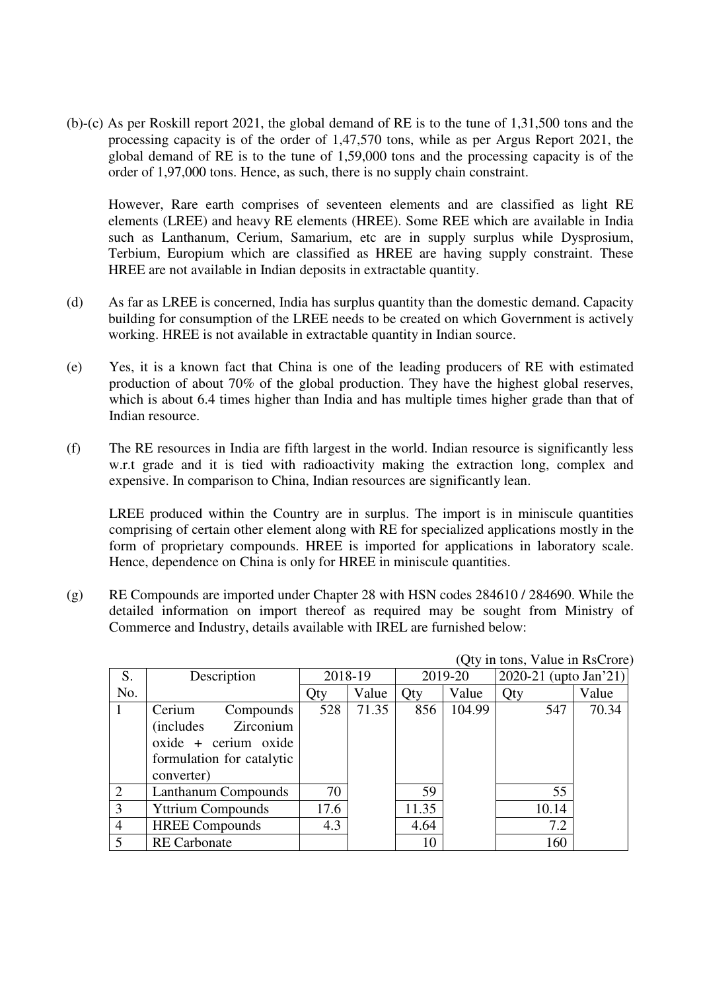(b)-(c) As per Roskill report 2021, the global demand of RE is to the tune of 1,31,500 tons and the processing capacity is of the order of 1,47,570 tons, while as per Argus Report 2021, the global demand of RE is to the tune of 1,59,000 tons and the processing capacity is of the order of 1,97,000 tons. Hence, as such, there is no supply chain constraint.

However, Rare earth comprises of seventeen elements and are classified as light RE elements (LREE) and heavy RE elements (HREE). Some REE which are available in India such as Lanthanum, Cerium, Samarium, etc are in supply surplus while Dysprosium, Terbium, Europium which are classified as HREE are having supply constraint. These HREE are not available in Indian deposits in extractable quantity.

- (d) As far as LREE is concerned, India has surplus quantity than the domestic demand. Capacity building for consumption of the LREE needs to be created on which Government is actively working. HREE is not available in extractable quantity in Indian source.
- (e) Yes, it is a known fact that China is one of the leading producers of RE with estimated production of about 70% of the global production. They have the highest global reserves, which is about 6.4 times higher than India and has multiple times higher grade than that of Indian resource.
- (f) The RE resources in India are fifth largest in the world. Indian resource is significantly less w.r.t grade and it is tied with radioactivity making the extraction long, complex and expensive. In comparison to China, Indian resources are significantly lean.

LREE produced within the Country are in surplus. The import is in miniscule quantities comprising of certain other element along with RE for specialized applications mostly in the form of proprietary compounds. HREE is imported for applications in laboratory scale. Hence, dependence on China is only for HREE in miniscule quantities.

(g) RE Compounds are imported under Chapter 28 with HSN codes 284610 / 284690. While the detailed information on import thereof as required may be sought from Ministry of Commerce and Industry, details available with IREL are furnished below:

| $\sqrt{2}$ , $\frac{1}{2}$ and $\frac{1}{2}$ and $\frac{1}{2}$ and $\frac{1}{2}$ |                                                                                                                              |         |       |         |        |                       |       |
|----------------------------------------------------------------------------------|------------------------------------------------------------------------------------------------------------------------------|---------|-------|---------|--------|-----------------------|-------|
| S.                                                                               | Description                                                                                                                  | 2018-19 |       | 2019-20 |        | 2020-21 (upto Jan'21) |       |
| No.                                                                              |                                                                                                                              | Qty     | Value | Qty     | Value  | Qty                   | Value |
|                                                                                  | Cerium<br>Compounds<br>Zirconium<br><i>(includes</i> )<br>$o$ xide + cerium oxide<br>formulation for catalytic<br>converter) | 528     | 71.35 | 856     | 104.99 | 547                   | 70.34 |
| 2                                                                                | Lanthanum Compounds                                                                                                          | 70      |       | 59      |        | 55                    |       |
| 3                                                                                | <b>Yttrium Compounds</b>                                                                                                     | 17.6    |       | 11.35   |        | 10.14                 |       |
| $\overline{4}$                                                                   | <b>HREE</b> Compounds                                                                                                        | 4.3     |       | 4.64    |        | 7.2                   |       |
| 5                                                                                | <b>RE</b> Carbonate                                                                                                          |         |       | 10      |        | 160                   |       |

 $(Q_{\text{tv}})$  in tons, Value in  $RsCr$